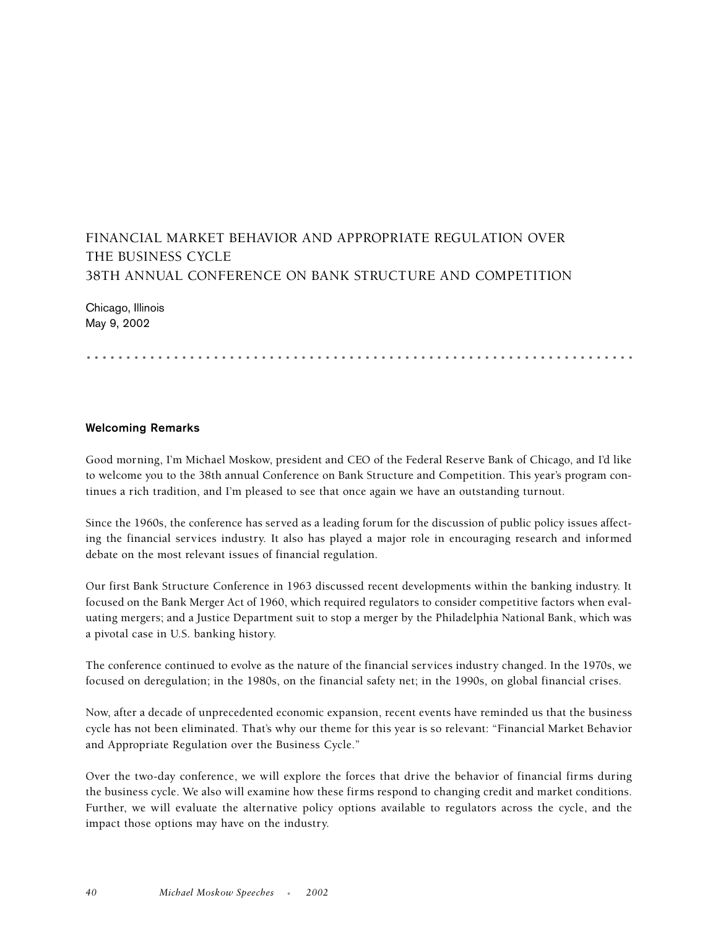## FINANCIAL MARKET BEHAVIOR AND APPROPRIATE REGULATION OVER THE BUSINESS CYCLE 38TH ANNUAL CONFERENCE ON BANK STRUCTURE AND COMPETITION

Chicago, Illinois May 9, 2002

.....................................................................

## **Welcoming Remarks**

Good morning, I'm Michael Moskow, president and CEO of the Federal Reserve Bank of Chicago, and I'd like to welcome you to the 38th annual Conference on Bank Structure and Competition. This year's program continues a rich tradition, and I'm pleased to see that once again we have an outstanding turnout.

Since the 1960s, the conference has served as a leading forum for the discussion of public policy issues affecting the financial services industry. It also has played a major role in encouraging research and informed debate on the most relevant issues of financial regulation.

Our first Bank Structure Conference in 1963 discussed recent developments within the banking industry. It focused on the Bank Merger Act of 1960, which required regulators to consider competitive factors when evaluating mergers; and a Justice Department suit to stop a merger by the Philadelphia National Bank, which was a pivotal case in U.S. banking history.

The conference continued to evolve as the nature of the financial services industry changed. In the 1970s, we focused on deregulation; in the 1980s, on the financial safety net; in the 1990s, on global financial crises.

Now, after a decade of unprecedented economic expansion, recent events have reminded us that the business cycle has not been eliminated. That's why our theme for this year is so relevant: "Financial Market Behavior and Appropriate Regulation over the Business Cycle."

Over the two-day conference, we will explore the forces that drive the behavior of financial firms during the business cycle. We also will examine how these firms respond to changing credit and market conditions. Further, we will evaluate the alternative policy options available to regulators across the cycle, and the impact those options may have on the industry.